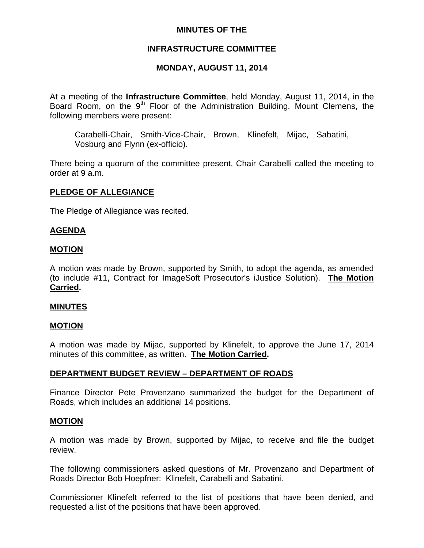## **MINUTES OF THE**

## **INFRASTRUCTURE COMMITTEE**

## **MONDAY, AUGUST 11, 2014**

At a meeting of the **Infrastructure Committee**, held Monday, August 11, 2014, in the Board Room, on the 9<sup>th</sup> Floor of the Administration Building, Mount Clemens, the following members were present:

Carabelli-Chair, Smith-Vice-Chair, Brown, Klinefelt, Mijac, Sabatini, Vosburg and Flynn (ex-officio).

There being a quorum of the committee present, Chair Carabelli called the meeting to order at 9 a.m.

### **PLEDGE OF ALLEGIANCE**

The Pledge of Allegiance was recited.

### **AGENDA**

### **MOTION**

A motion was made by Brown, supported by Smith, to adopt the agenda, as amended (to include #11, Contract for ImageSoft Prosecutor's iJustice Solution). **The Motion Carried.** 

### **MINUTES**

### **MOTION**

A motion was made by Mijac, supported by Klinefelt, to approve the June 17, 2014 minutes of this committee, as written. **The Motion Carried.** 

## **DEPARTMENT BUDGET REVIEW – DEPARTMENT OF ROADS**

Finance Director Pete Provenzano summarized the budget for the Department of Roads, which includes an additional 14 positions.

### **MOTION**

A motion was made by Brown, supported by Mijac, to receive and file the budget review.

The following commissioners asked questions of Mr. Provenzano and Department of Roads Director Bob Hoepfner: Klinefelt, Carabelli and Sabatini.

Commissioner Klinefelt referred to the list of positions that have been denied, and requested a list of the positions that have been approved.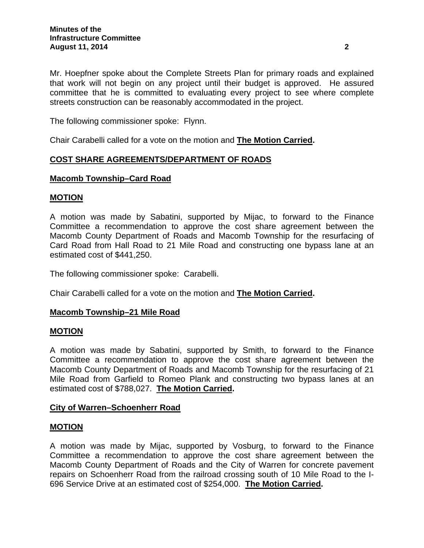Mr. Hoepfner spoke about the Complete Streets Plan for primary roads and explained that work will not begin on any project until their budget is approved. He assured committee that he is committed to evaluating every project to see where complete streets construction can be reasonably accommodated in the project.

The following commissioner spoke: Flynn.

Chair Carabelli called for a vote on the motion and **The Motion Carried.**

## **COST SHARE AGREEMENTS/DEPARTMENT OF ROADS**

## **Macomb Township–Card Road**

### **MOTION**

A motion was made by Sabatini, supported by Mijac, to forward to the Finance Committee a recommendation to approve the cost share agreement between the Macomb County Department of Roads and Macomb Township for the resurfacing of Card Road from Hall Road to 21 Mile Road and constructing one bypass lane at an estimated cost of \$441,250.

The following commissioner spoke: Carabelli.

Chair Carabelli called for a vote on the motion and **The Motion Carried.**

### **Macomb Township–21 Mile Road**

#### **MOTION**

A motion was made by Sabatini, supported by Smith, to forward to the Finance Committee a recommendation to approve the cost share agreement between the Macomb County Department of Roads and Macomb Township for the resurfacing of 21 Mile Road from Garfield to Romeo Plank and constructing two bypass lanes at an estimated cost of \$788,027. **The Motion Carried.** 

### **City of Warren–Schoenherr Road**

### **MOTION**

A motion was made by Mijac, supported by Vosburg, to forward to the Finance Committee a recommendation to approve the cost share agreement between the Macomb County Department of Roads and the City of Warren for concrete pavement repairs on Schoenherr Road from the railroad crossing south of 10 Mile Road to the I-696 Service Drive at an estimated cost of \$254,000. **The Motion Carried.**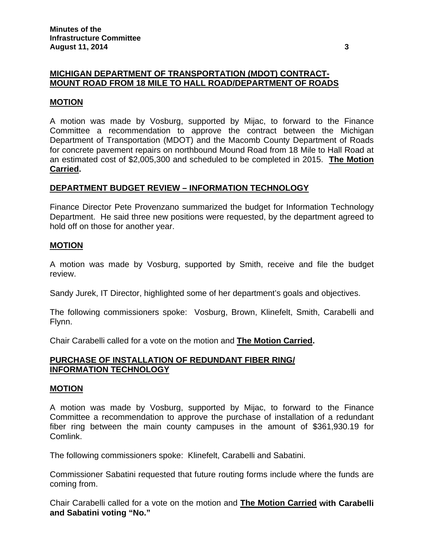## **MICHIGAN DEPARTMENT OF TRANSPORTATION (MDOT) CONTRACT-MOUNT ROAD FROM 18 MILE TO HALL ROAD/DEPARTMENT OF ROADS**

### **MOTION**

A motion was made by Vosburg, supported by Mijac, to forward to the Finance Committee a recommendation to approve the contract between the Michigan Department of Transportation (MDOT) and the Macomb County Department of Roads for concrete pavement repairs on northbound Mound Road from 18 Mile to Hall Road at an estimated cost of \$2,005,300 and scheduled to be completed in 2015. **The Motion Carried.** 

### **DEPARTMENT BUDGET REVIEW – INFORMATION TECHNOLOGY**

Finance Director Pete Provenzano summarized the budget for Information Technology Department. He said three new positions were requested, by the department agreed to hold off on those for another year.

### **MOTION**

A motion was made by Vosburg, supported by Smith, receive and file the budget review.

Sandy Jurek, IT Director, highlighted some of her department's goals and objectives.

The following commissioners spoke: Vosburg, Brown, Klinefelt, Smith, Carabelli and Flynn.

Chair Carabelli called for a vote on the motion and **The Motion Carried.**

### **PURCHASE OF INSTALLATION OF REDUNDANT FIBER RING/ INFORMATION TECHNOLOGY**

### **MOTION**

A motion was made by Vosburg, supported by Mijac, to forward to the Finance Committee a recommendation to approve the purchase of installation of a redundant fiber ring between the main county campuses in the amount of \$361,930.19 for Comlink.

The following commissioners spoke: Klinefelt, Carabelli and Sabatini.

Commissioner Sabatini requested that future routing forms include where the funds are coming from.

Chair Carabelli called for a vote on the motion and **The Motion Carried with Carabelli and Sabatini voting "No."**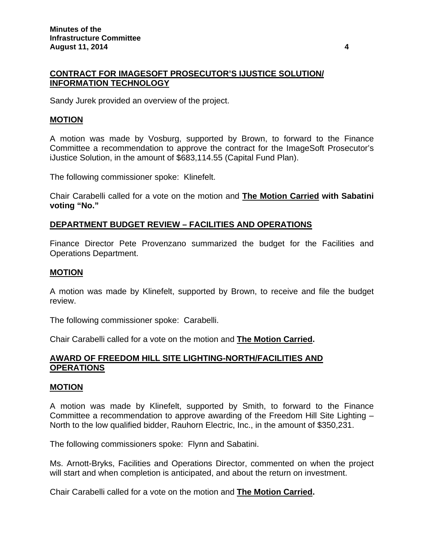## **CONTRACT FOR IMAGESOFT PROSECUTOR'S IJUSTICE SOLUTION/ INFORMATION TECHNOLOGY**

Sandy Jurek provided an overview of the project.

### **MOTION**

A motion was made by Vosburg, supported by Brown, to forward to the Finance Committee a recommendation to approve the contract for the ImageSoft Prosecutor's iJustice Solution, in the amount of \$683,114.55 (Capital Fund Plan).

The following commissioner spoke: Klinefelt.

Chair Carabelli called for a vote on the motion and **The Motion Carried with Sabatini voting "No."**

### **DEPARTMENT BUDGET REVIEW – FACILITIES AND OPERATIONS**

Finance Director Pete Provenzano summarized the budget for the Facilities and Operations Department.

#### **MOTION**

A motion was made by Klinefelt, supported by Brown, to receive and file the budget review.

The following commissioner spoke: Carabelli.

Chair Carabelli called for a vote on the motion and **The Motion Carried.**

### **AWARD OF FREEDOM HILL SITE LIGHTING-NORTH/FACILITIES AND OPERATIONS**

#### **MOTION**

A motion was made by Klinefelt, supported by Smith, to forward to the Finance Committee a recommendation to approve awarding of the Freedom Hill Site Lighting – North to the low qualified bidder, Rauhorn Electric, Inc., in the amount of \$350,231.

The following commissioners spoke: Flynn and Sabatini.

Ms. Arnott-Bryks, Facilities and Operations Director, commented on when the project will start and when completion is anticipated, and about the return on investment.

Chair Carabelli called for a vote on the motion and **The Motion Carried.**